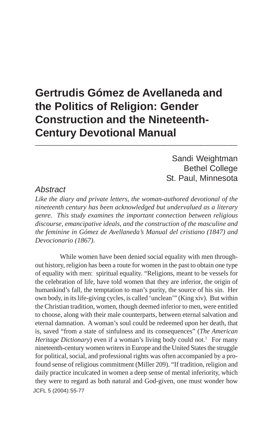# **Gertrudis Gómez de Avellaneda and the Politics of Religion: Gender Construction and the Nineteenth-Century Devotional Manual \_\_\_\_\_\_\_\_\_\_\_\_\_\_\_\_\_\_\_\_\_\_\_\_\_\_\_\_\_\_\_\_\_**

Sandi Weightman Bethel College St. Paul, Minnesota

### *Abstract*

*Like the diary and private letters, the woman-authored devotional of the nineteenth century has been acknowledged but undervalued as a literary genre. This study examines the important connection between religious discourse, emancipative ideals, and the construction of the masculine and the feminine in Gómez de Avellaneda's Manual del cristiano (1847) and Devocionario (1867).*

JCFL 5 (2004): 55-77While women have been denied social equality with men throughout history, religion has been a route for women in the past to obtain one type of equality with men: spiritual equality. "Religions, meant to be vessels for the celebration of life, have told women that they are inferior, the origin of humankind's fall, the temptation to man's purity, the source of his sin. Her own body, in its life-giving cycles, is called 'unclean'" (King xiv). But within the Christian tradition, women, though deemed inferior to men, were entitled to choose, along with their male counterparts, between eternal salvation and eternal damnation. A woman's soul could be redeemed upon her death, that is, saved "from a state of sinfulness and its consequences" (*The American Heritage Dictionary*) even if a woman's living body could not.<sup>1</sup> For many nineteenth-century women writers in Europe and the United States the struggle for political, social, and professional rights was often accompanied by a profound sense of religious commitment (Miller 209). "If tradition, religion and daily practice inculcated in women a deep sense of mental inferiority, which they were to regard as both natural and God-given, one must wonder how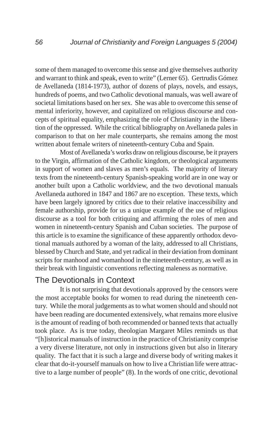some of them managed to overcome this sense and give themselves authority and warrant to think and speak, even to write" (Lerner 65). Gertrudis Gómez de Avellaneda (1814-1973), author of dozens of plays, novels, and essays, hundreds of poems, and two Catholic devotional manuals, was well aware of societal limitations based on her sex. She was able to overcome this sense of mental inferiority, however, and capitalized on religious discourse and concepts of spiritual equality, emphasizing the role of Christianity in the liberation of the oppressed. While the critical bibliography on Avellaneda pales in comparison to that on her male counterparts, she remains among the most written about female writers of nineteenth-century Cuba and Spain.

Most of Avellaneda's works draw on religious discourse, be it prayers to the Virgin, affirmation of the Catholic kingdom, or theological arguments in support of women and slaves as men's equals. The majority of literary texts from the nineteenth-century Spanish-speaking world are in one way or another built upon a Catholic worldview, and the two devotional manuals Avellaneda authored in 1847 and 1867 are no exception. These texts, which have been largely ignored by critics due to their relative inaccessibility and female authorship, provide for us a unique example of the use of religious discourse as a tool for both critiquing and affirming the roles of men and women in nineteenth-century Spanish and Cuban societies. The purpose of this article is to examine the significance of these apparently orthodox devotional manuals authored by a woman of the laity, addressed to all Christians, blessed by Church and State, and yet radical in their deviation from dominant scripts for manhood and womanhood in the nineteenth-century, as well as in their break with linguistic conventions reflecting maleness as normative.

### The Devotionals in Context

It is not surprising that devotionals approved by the censors were the most acceptable books for women to read during the nineteenth century. While the moral judgements as to what women should and should not have been reading are documented extensively, what remains more elusive is the amount of reading of both recommended or banned texts that actually took place. As is true today, theologian Margaret Miles reminds us that "[h]istorical manuals of instruction in the practice of Christianity comprise a very diverse literature, not only in instructions given but also in literary quality. The fact that it is such a large and diverse body of writing makes it clear that do-it-yourself manuals on how to live a Christian life were attractive to a large number of people" (8). In the words of one critic, devotional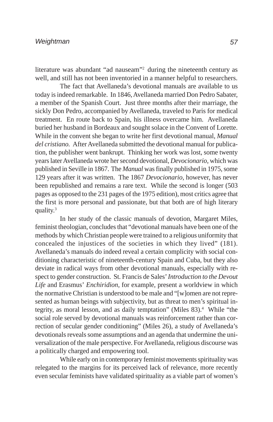literature was abundant "ad nauseam"2 during the nineteenth century as well, and still has not been inventoried in a manner helpful to researchers.

The fact that Avellaneda's devotional manuals are available to us today is indeed remarkable. In 1846, Avellaneda married Don Pedro Sabater, a member of the Spanish Court. Just three months after their marriage, the sickly Don Pedro, accompanied by Avellaneda, traveled to Paris for medical treatment. En route back to Spain, his illness overcame him. Avellaneda buried her husband in Bordeaux and sought solace in the Convent of Lorette. While in the convent she began to write her first devotional manual, *Manual del cristiano.* After Avellaneda submitted the devotional manual for publication, the publisher went bankrupt. Thinking her work was lost, some twenty years later Avellaneda wrote her second devotional, *Devocionario*, which was published in Seville in 1867. The *Manual* was finally published in 1975, some 129 years after it was written. The 1867 *Devocionario*, however, has never been republished and remains a rare text. While the second is longer (503 pages as opposed to the 231 pages of the 1975 edition), most critics agree that the first is more personal and passionate, but that both are of high literary quality.3

In her study of the classic manuals of devotion, Margaret Miles, feminist theologian, concludes that "devotional manuals have been one of the methods by which Christian people were trained to a religious uniformity that concealed the injustices of the societies in which they lived" (181). Avellaneda's manuals do indeed reveal a certain complicity with social conditioning characteristic of nineteenth-century Spain and Cuba, but they also deviate in radical ways from other devotional manuals, especially with respect to gender construction. St. Francis de Sales' *Introduction to the Devout Life* and Erasmus' *Enchiridion*, for example, present a worldview in which the normative Christian is understood to be male and "[w]omen are not represented as human beings with subjectivity, but as threat to men's spiritual integrity, as moral lesson, and as daily temptation" (Miles 83).<sup>4</sup> While "the social role served by devotional manuals was reinforcement rather than correction of secular gender conditioning" (Miles 26), a study of Avellaneda's devotionals reveals some assumptions and an agenda that undermine the universalization of the male perspective. For Avellaneda, religious discourse was a politically charged and empowering tool.

While early on in contemporary feminist movements spirituality was relegated to the margins for its perceived lack of relevance, more recently even secular feminists have validated spirituality as a viable part of women's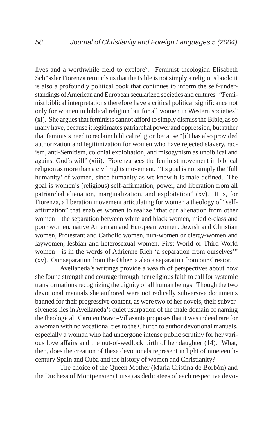lives and a worthwhile field to explore<sup>5</sup>. Feminist theologian Elisabeth Schüssler Fiorenza reminds us that the Bible is not simply a religious book; it is also a profoundly political book that continues to inform the self-understandings of American and European secularized societies and cultures. "Feminist biblical interpretations therefore have a critical political significance not only for women in biblical religion but for all women in Western societies" (xi). She argues that feminists cannot afford to simply dismiss the Bible, as so many have, because it legitimates patriarchal power and oppression, but rather that feminists need to reclaim biblical religion because "[i]t has also provided authorization and legitimization for women who have rejected slavery, racism, anti-Semitism, colonial exploitation, and misogynism as unbiblical and against God's will" (xiii). Fiorenza sees the feminist movement in biblical religion as more than a civil rights movement. "Its goal is not simply the 'full humanity' of women, since humanity as we know it is male-defined. The goal is women's (religious) self-affirmation, power, and liberation from all patriarchal alienation, marginalization, and exploitation" (xv). It is, for Fiorenza, a liberation movement articulating for women a theology of "selfaffirmation" that enables women to realize "that our alienation from other women—the separation between white and black women, middle-class and poor women, native American and European women, Jewish and Christian women, Protestant and Catholic women, nun-women or clergy-women and laywomen, lesbian and heterosexual women, First World or Third World women—is in the words of Adrienne Rich 'a separation from ourselves'" (xv). Our separation from the Other is also a separation from our Creator.

Avellaneda's writings provide a wealth of perspectives about how she found strength and courage through her religious faith to call for systemic transformations recognizing the dignity of all human beings. Though the two devotional manuals she authored were not radically subversive documents banned for their progressive content, as were two of her novels, their subversiveness lies in Avellaneda's quiet usurpation of the male domain of naming the theological. Carmen Bravo-Villasante proposes that it was indeed rare for a woman with no vocational ties to the Church to author devotional manuals, especially a woman who had undergone intense public scrutiny for her various love affairs and the out-of-wedlock birth of her daughter (14). What, then, does the creation of these devotionals represent in light of nineteenthcentury Spain and Cuba and the history of women and Christianity?

The choice of the Queen Mother (María Cristina de Borbón) and the Duchess of Montpensier (Luisa) as dedicatees of each respective devo-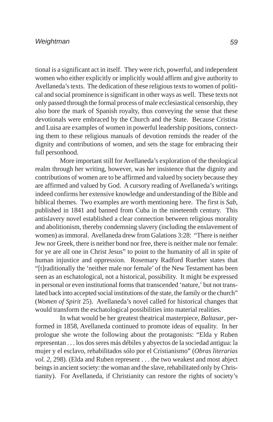#### *Weightman*

tional is a significant act in itself. They were rich, powerful, and independent women who either explicitly or implicitly would affirm and give authority to Avellaneda's texts. The dedication of these religious texts to women of political and social prominence is significant in other ways as well. These texts not only passed through the formal process of male ecclesiastical censorship, they also bore the mark of Spanish royalty, thus conveying the sense that these devotionals were embraced by the Church and the State. Because Cristina and Luisa are examples of women in powerful leadership positions, connecting them to these religious manuals of devotion reminds the reader of the dignity and contributions of women, and sets the stage for embracing their full personhood.

More important still for Avellaneda's exploration of the theological realm through her writing, however, was her insistence that the dignity and contributions of women are to be affirmed and valued by society because they are affirmed and valued by God. A cursory reading of Avellaneda's writings indeed confirms her extensive knowledge and understanding of the Bible and biblical themes. Two examples are worth mentioning here. The first is *Sab*, published in 1841 and banned from Cuba in the nineteenth century. This antislavery novel established a clear connection between religious morality and abolitionism, thereby condemning slavery (including the enslavement of women) as immoral. Avellaneda drew from Galations 3:28: "There is neither Jew nor Greek, there is neither bond nor free, there is neither male nor female: for ye are all one in Christ Jesus" to point to the humanity of all in spite of human injustice and oppression. Rosemary Radford Ruether states that "[t]raditionally the 'neither male nor female' of the New Testament has been seen as an eschatological, not a historical, possibility. It might be expressed in personal or even institutional forms that transcended 'nature,' but not translated back into accepted social institutions of the state, the family or the church" (*Women of Spirit* 25). Avellaneda's novel called for historical changes that would transform the eschatological possibilities into material realities.

In what would be her greatest theatrical masterpiece, *Baltasar*, performed in 1858, Avellaneda continued to promote ideas of equality. In her prologue she wrote the following about the protagonists: "Elda y Ruben representan . . . los dos seres más débiles y abyectos de la sociedad antigua: la mujer y el esclavo, rehabilitados sólo por el Cristianismo" (*Obras literarias vol. 2,* 298). (Elda and Ruben represent . . . the two weakest and most abject beings in ancient society: the woman and the slave, rehabilitated only by Christianity). For Avellaneda, if Christianity can restore the rights of society's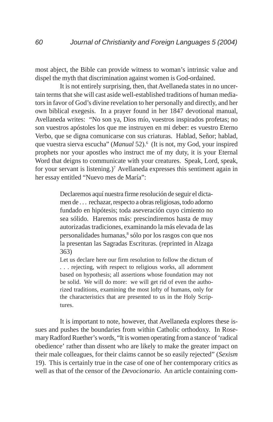most abject, the Bible can provide witness to woman's intrinsic value and dispel the myth that discrimination against women is God-ordained.

It is not entirely surprising, then, that Avellaneda states in no uncertain terms that she will cast aside well-established traditions of human mediators in favor of God's divine revelation to her personally and directly, and her own biblical exegesis. In a prayer found in her 1847 devotional manual, Avellaneda writes: "No son ya, Dios mío, vuestros inspirados profetas; no son vuestros apóstoles los que me instruyen en mi deber: es vuestro Eterno Verbo, que se digna comunicarse con sus criaturas. Hablad, Señor; hablad, que vuestra sierva escucha" (*Manual* 52).<sup>6</sup> (It is not, my God, your inspired prophets nor your apostles who instruct me of my duty, it is your Eternal Word that deigns to communicate with your creatures. Speak, Lord, speak, for your servant is listening.)<sup>7</sup> Avellaneda expresses this sentiment again in her essay entitled "Nuevo mes de María":

> Declaremos aquí nuestra firme resolución de seguir el dictamen de . . . rechazar, respecto a obras religiosas, todo adorno fundado en hipótesis; toda aseveración cuyo cimiento no sea sólido. Haremos más: prescindiremos hasta de muy autorizadas tradiciones, examinando la más elevada de las personalidades humanas,<sup>8</sup> sólo por los rasgos con que nos la presentan las Sagradas Escrituras. (reprinted in Alzaga 363)

> Let us declare here our firm resolution to follow the dictum of . . . rejecting, with respect to religious works, all adornment based on hypothesis; all assertions whose foundation may not be solid. We will do more: we will get rid of even the authorized traditions, examining the most lofty of humans, only for the characteristics that are presented to us in the Holy Scriptures.

It is important to note, however, that Avellaneda explores these issues and pushes the boundaries from within Catholic orthodoxy. In Rosemary Radford Ruether's words, "It is women operating from a stance of 'radical obedience' rather than dissent who are likely to make the greater impact on their male colleagues, for their claims cannot be so easily rejected" (*Sexism* 19). This is certainly true in the case of one of her contemporary critics as well as that of the censor of the *Devocionario*. An article containing com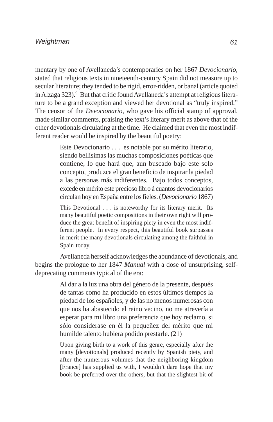mentary by one of Avellaneda's contemporaries on her 1867 *Devocionario*, stated that religious texts in nineteenth-century Spain did not measure up to secular literature; they tended to be rigid, error-ridden, or banal (article quoted in Alzaga 323).<sup>9</sup> But that critic found Avellaneda's attempt at religious literature to be a grand exception and viewed her devotional as "truly inspired." The censor of the *Devocionario*, who gave his official stamp of approval, made similar comments, praising the text's literary merit as above that of the other devotionals circulating at the time. He claimed that even the most indifferent reader would be inspired by the beautiful poetry:

> Este Devocionario . . . es notable por su mérito literario, siendo bellísimas las muchas composiciones poéticas que contiene, lo que hará que, aun buscado bajo este solo concepto, produzca el gran beneficio de inspirar la piedad a las personas más indiferentes. Bajo todos conceptos, excede en mérito este precioso libro á cuantos devocionarios circulan hoy en España entre los fieles. (*Devocionario* 1867)

> This Devotional . . . is noteworthy for its literary merit. Its many beautiful poetic compositions in their own right will produce the great benefit of inspiring piety in even the most indifferent people. In every respect, this beautiful book surpasses in merit the many devotionals circulating among the faithful in Spain today.

Avellaneda herself acknowledges the abundance of devotionals, and begins the prologue to her 1847 *Manual* with a dose of unsurprising, selfdeprecating comments typical of the era:

> Al dar a la luz una obra del género de la presente, después de tantas como ha producido en estos últimos tiempos la piedad de los españoles, y de las no menos numerosas con que nos ha abastecido el reino vecino, no me atrevería a esperar para mi libro una preferencia que hoy reclamo, si sólo considerase en él la pequeñez del mérito que mi humilde talento hubiera podido prestarle. (21)

> Upon giving birth to a work of this genre, especially after the many [devotionals] produced recently by Spanish piety, and after the numerous volumes that the neighboring kingdom [France] has supplied us with, I wouldn't dare hope that my book be preferred over the others, but that the slightest bit of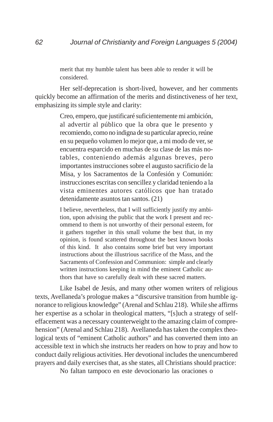merit that my humble talent has been able to render it will be considered.

Her self-deprecation is short-lived, however, and her comments quickly become an affirmation of the merits and distinctiveness of her text, emphasizing its simple style and clarity:

> Creo, empero, que justificaré suficientemente mi ambición, al advertir al público que la obra que le presento y recomiendo, como no indigna de su particular aprecio, reúne en su pequeño volumen lo mejor que, a mi modo de ver, se encuentra esparcido en muchas de su clase de las más notables, conteniendo además algunas breves, pero importantes instrucciones sobre el augusto sacrificio de la Misa, y los Sacramentos de la Confesión y Comunión: instrucciones escritas con sencillez y claridad teniendo a la vista eminentes autores católicos que han tratado detenidamente asuntos tan santos. (21)

> I believe, nevertheless, that I will sufficiently justify my ambition, upon advising the public that the work I present and recommend to them is not unworthy of their personal esteem, for it gathers together in this small volume the best that, in my opinion, is found scattered throughout the best known books of this kind. It also contains some brief but very important instructions about the illustrious sacrifice of the Mass, and the Sacraments of Confession and Communion: simple and clearly written instructions keeping in mind the eminent Catholic authors that have so carefully dealt with these sacred matters.

Like Isabel de Jesús, and many other women writers of religious texts, Avellaneda's prologue makes a "discursive transition from humble ignorance to religious knowledge" (Arenal and Schlau 218). While she affirms her expertise as a scholar in theological matters, "[s]uch a strategy of selfeffacement was a necessary counterweight to the amazing claim of comprehension" (Arenal and Schlau 218). Avellaneda has taken the complex theological texts of "eminent Catholic authors" and has converted them into an accessible text in which she instructs her readers on how to pray and how to conduct daily religious activities. Her devotional includes the unencumbered prayers and daily exercises that, as she states, all Christians should practice:

No faltan tampoco en este devocionario las oraciones o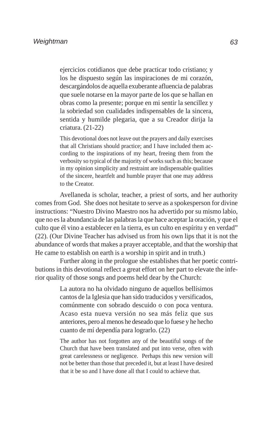ejercicios cotidianos que debe practicar todo cristiano; y los he dispuesto según las inspiraciones de mi corazón, descargándolos de aquella exuberante afluencia de palabras que suele notarse en la mayor parte de los que se hallan en obras como la presente; porque en mi sentir la sencillez y la sobriedad son cualidades indispensables de la sincera, sentida y humilde plegaria, que a su Creador dirija la criatura. (21-22)

This devotional does not leave out the prayers and daily exercises that all Christians should practice; and I have included them according to the inspirations of my heart, freeing them from the verbosity so typical of the majority of works such as this; because in my opinion simplicity and restraint are indispensable qualities of the sincere, heartfelt and humble prayer that one may address to the Creator.

Avellaneda is scholar, teacher, a priest of sorts, and her authority comes from God. She does not hesitate to serve as a spokesperson for divine instructions: "Nuestro Divino Maestro nos ha advertido por su mismo labio, que no es la abundancia de las palabras la que hace aceptar la oración, y que el culto que él vino a establecer en la tierra, es un culto en espíritu y en verdad" (22). (Our Divine Teacher has advised us from his own lips that it is not the abundance of words that makes a prayer acceptable, and that the worship that He came to establish on earth is a worship in spirit and in truth.)

Further along in the prologue she establishes that her poetic contributions in this devotional reflect a great effort on her part to elevate the inferior quality of those songs and poems held dear by the Church:

> La autora no ha olvidado ninguno de aquellos bellísimos cantos de la Iglesia que han sido traducidos y versificados, comúnmente con sobrado descuido o con poca ventura. Acaso esta nueva versión no sea más feliz que sus anteriores, pero al menos he deseado que lo fuese y he hecho cuanto de mí dependía para lograrlo. (22)

> The author has not forgotten any of the beautiful songs of the Church that have been translated and put into verse, often with great carelessness or negligence. Perhaps this new version will not be better than those that preceded it, but at least I have desired that it be so and I have done all that I could to achieve that.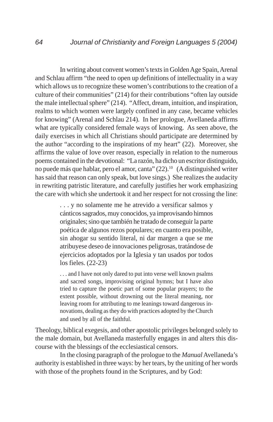In writing about convent women's texts in Golden Age Spain, Arenal and Schlau affirm "the need to open up definitions of intellectuality in a way which allows us to recognize these women's contributions to the creation of a culture of their communities" (214) for their contributions "often lay outside the male intellectual sphere" (214). "Affect, dream, intuition, and inspiration, realms to which women were largely confined in any case, became vehicles for knowing" (Arenal and Schlau 214). In her prologue, Avellaneda affirms what are typically considered female ways of knowing. As seen above, the daily exercises in which all Christians should participate are determined by the author "according to the inspirations of my heart" (22). Moreover, she affirms the value of love over reason, especially in relation to the numerous poems contained in the devotional: "La razón, ha dicho un escritor distinguido, no puede más que hablar, pero el amor, canta" (22).10 (A distinguished writer has said that reason can only speak, but love sings.) She realizes the audacity in rewriting patristic literature, and carefully justifies her work emphasizing the care with which she undertook it and her respect for not crossing the line:

> . . . y no solamente me he atrevido a versificar salmos y cánticos sagrados, muy conocidos, ya improvisando himnos originales; sino que también he tratado de conseguir la parte poética de algunos rezos populares; en cuanto era posible, sin ahogar su sentido literal, ni dar margen a que se me atribuyese deseo de innovaciones peligrosas, tratándose de ejercicios adoptados por la Iglesia y tan usados por todos los fieles. (22-23)

> . . . and I have not only dared to put into verse well known psalms and sacred songs, improvising original hymns; but I have also tried to capture the poetic part of some popular prayers; to the extent possible, without drowning out the literal meaning, nor leaving room for attributing to me leanings toward dangerous innovations, dealing as they do with practices adopted by the Church and used by all of the faithful.

Theology, biblical exegesis, and other apostolic privileges belonged solely to the male domain, but Avellaneda masterfully engages in and alters this discourse with the blessings of the ecclesiastical censors.

In the closing paragraph of the prologue to the *Manual* Avellaneda's authority is established in three ways: by her tears, by the uniting of her words with those of the prophets found in the Scriptures, and by God: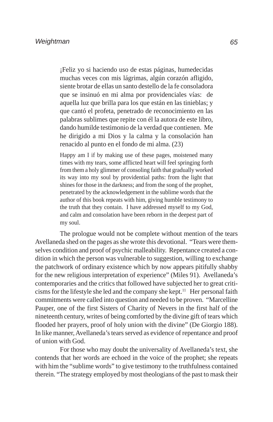¡Feliz yo si haciendo uso de estas páginas, humedecidas muchas veces con mis lágrimas, algún corazón afligido, siente brotar de ellas un santo destello de la fe consoladora que se insinuó en mi alma por providenciales vías: de aquella luz que brilla para los que están en las tinieblas; y que cantó el profeta, penetrado de reconocimiento en las palabras sublimes que repite con él la autora de este libro, dando humilde testimonio de la verdad que contienen. Me he dirigido a mi Dios y la calma y la consolación han renacido al punto en el fondo de mi alma. (23)

Happy am I if by making use of these pages, moistened many times with my tears, some afflicted heart will feel springing forth from them a holy glimmer of consoling faith that gradually worked its way into my soul by providential paths: from the light that shines for those in the darkness; and from the song of the prophet, penetrated by the acknowledgement in the sublime words that the author of this book repeats with him, giving humble testimony to the truth that they contain. I have addressed myself to my God, and calm and consolation have been reborn in the deepest part of my soul.

The prologue would not be complete without mention of the tears Avellaneda shed on the pages as she wrote this devotional. "Tears were themselves condition and proof of psychic malleability. Repentance created a condition in which the person was vulnerable to suggestion, willing to exchange the patchwork of ordinary existence which by now appears pitifully shabby for the new religious interpretation of experience" (Miles 91). Avellaneda's contemporaries and the critics that followed have subjected her to great criticisms for the lifestyle she led and the company she kept.<sup>11</sup> Her personal faith commitments were called into question and needed to be proven. "Marcelline Pauper, one of the first Sisters of Charity of Nevers in the first half of the nineteenth century, writes of being comforted by the divine gift of tears which flooded her prayers, proof of holy union with the divine" (De Giorgio 188). In like manner, Avellaneda's tears served as evidence of repentance and proof of union with God.

For those who may doubt the universality of Avellaneda's text, she contends that her words are echoed in the voice of the prophet; she repeats with him the "sublime words" to give testimony to the truthfulness contained therein. "The strategy employed by most theologians of the past to mask their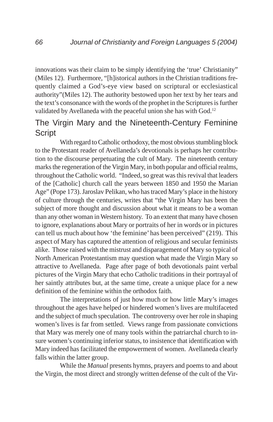innovations was their claim to be simply identifying the 'true' Christianity" (Miles 12). Furthermore, "[h]istorical authors in the Christian traditions frequently claimed a God's-eye view based on scriptural or ecclesiastical authority"(Miles 12). The authority bestowed upon her text by her tears and the text's consonance with the words of the prophet in the Scriptures is further validated by Avellaneda with the peaceful union she has with God.<sup>12</sup>

## The Virgin Mary and the Nineteenth-Century Feminine **Script**

With regard to Catholic orthodoxy, the most obvious stumbling block to the Protestant reader of Avellaneda's devotionals is perhaps her contribution to the discourse perpetuating the cult of Mary. The nineteenth century marks the regeneration of the Virgin Mary, in both popular and official realms, throughout the Catholic world. "Indeed, so great was this revival that leaders of the [Catholic] church call the years between 1850 and 1950 the Marian Age" (Pope 173). Jaroslav Pelikan, who has traced Mary's place in the history of culture through the centuries, writes that "the Virgin Mary has been the subject of more thought and discussion about what it means to be a woman than any other woman in Western history. To an extent that many have chosen to ignore, explanations about Mary or portraits of her in words or in pictures can tell us much about how 'the feminine' has been perceived" (219). This aspect of Mary has captured the attention of religious and secular feminists alike. Those raised with the mistrust and disparagement of Mary so typical of North American Protestantism may question what made the Virgin Mary so attractive to Avellaneda. Page after page of both devotionals paint verbal pictures of the Virgin Mary that echo Catholic traditions in their portrayal of her saintly attributes but, at the same time, create a unique place for a new definition of the feminine within the orthodox faith.

The interpretations of just how much or how little Mary's images throughout the ages have helped or hindered women's lives are multifaceted and the subject of much speculation. The controversy over her role in shaping women's lives is far from settled. Views range from passionate convictions that Mary was merely one of many tools within the patriarchal church to insure women's continuing inferior status, to insistence that identification with Mary indeed has facilitated the empowerment of women. Avellaneda clearly falls within the latter group.

While the *Manual* presents hymns, prayers and poems to and about the Virgin, the most direct and strongly written defense of the cult of the Vir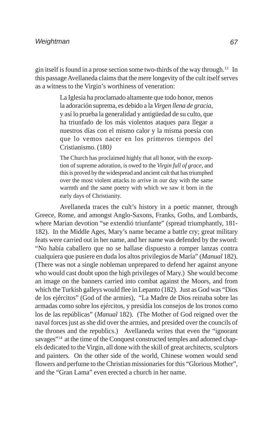gin itself is found in a prose section some two-thirds of the way through.13 In this passage Avellaneda claims that the mere longevity of the cult itself serves as a witness to the Virgin's worthiness of veneration:

> La Iglesia ha proclamado altamente que todo honor, menos la adoración suprema, es debido a la *Virgen llena de gracia*, y así lo prueba la generalidad y antigüedad de su culto, que ha triunfado de los más violentos ataques para llegar a nuestros días con el mismo calor y la misma poesía con que lo vemos nacer en los primeros tiempos del Cristianismo. (180*)*

> The Church has proclaimed highly that all honor, with the exception of supreme adoration, is owed to the *Virgin full of grace*, and this is proved by the widespread and ancient cult that has triumphed over the most violent attacks to arrive in our day with the same warmth and the same poetry with which we saw it born in the early days of Christianity.

Avellaneda traces the cult's history in a poetic manner, through Greece, Rome, and amongst Anglo-Saxons, Franks, Goths, and Lombards, where Marian devotion "se extendió triunfante" (spread triumphantly, 181-182). In the Middle Ages, Mary's name became a battle cry; great military feats were carried out in her name, and her name was defended by the sword: "No había caballero que no se hallase dispuesto a romper lanzas contra cualquiera que pusiere en duda los altos privilegios de María" (*Manual* 182). (There was not a single nobleman unprepared to defend her against anyone who would cast doubt upon the high privileges of Mary.) She would become an image on the banners carried into combat against the Moors, and from which the Turkish galleys would flee in Lepanto (182). Just as God was "Dios de los ejércitos" (God of the armies), "La Madre de Dios reinaba sobre las armadas como sobre los ejércitos, y presidía los consejos de los tronos como los de las repúblicas" (*Manual* 182). (The Mother of God reigned over the naval forces just as she did over the armies, and presided over the councils of the thrones and the republics.) Avellaneda writes that even the "ignorant savages"<sup>14</sup> at the time of the Conquest constructed temples and adorned chapels dedicated to the Virgin, all done with the skill of great architects, sculptors and painters. On the other side of the world, Chinese women would send flowers and perfume to the Christian missionaries for this "Glorious Mother", and the "Gran Lama" even erected a church in her name.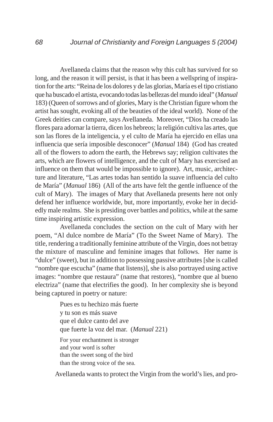Avellaneda claims that the reason why this cult has survived for so long, and the reason it will persist, is that it has been a wellspring of inspiration for the arts: "Reina de los dolores y de las glorias, María es el tipo cristiano que ha buscado el artista, evocando todas las bellezas del mundo ideal" (*Manual* 183) (Queen of sorrows and of glories, Mary is the Christian figure whom the artist has sought, evoking all of the beauties of the ideal world). None of the Greek deities can compare, says Avellaneda. Moreover, "Dios ha creado las flores para adornar la tierra, dicen los hebreos; la religión cultiva las artes, que son las flores de la inteligencia, y el culto de María ha ejercido en ellas una influencia que sería imposible desconocer" (*Manual* 184) (God has created all of the flowers to adorn the earth, the Hebrews say; religion cultivates the arts, which are flowers of intelligence, and the cult of Mary has exercised an influence on them that would be impossible to ignore). Art, music, architecture and literature, "Las artes todas han sentido la suave influencia del culto de María" (*Manual* 186) (All of the arts have felt the gentle influence of the cult of Mary). The images of Mary that Avellaneda presents here not only defend her influence worldwide, but, more importantly, evoke her in decidedly male realms. She is presiding over battles and politics, while at the same time inspiring artistic expression.

Avellaneda concludes the section on the cult of Mary with her poem, "Al dulce nombre de María" (To the Sweet Name of Mary). The title, rendering a traditionally feminine attribute of the Virgin, does not betray the mixture of masculine and feminine images that follows. Her name is "dulce" (sweet), but in addition to possessing passive attributes [she is called "nombre que escucha" (name that listens)], she is also portrayed using active images: "nombre que restaura" (name that restores), "nombre que al bueno electriza" (name that electrifies the good). In her complexity she is beyond being captured in poetry or nature:

> Pues es tu hechizo más fuerte y tu son es más suave que el dulce canto del ave que fuerte la voz del mar. (*Manual* 221) For your enchantment is stronger and your word is softer than the sweet song of the bird than the strong voice of the sea.

Avellaneda wants to protect the Virgin from the world's lies, and pro-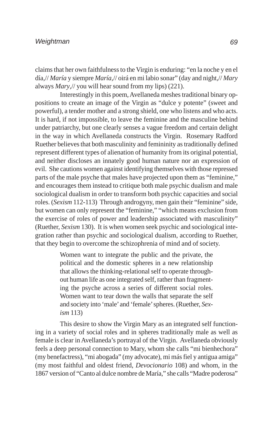claims that her own faithfulness to the Virgin is enduring: "en la noche y en el día,// *María* y siempre *María*,// oirá en mi labio sonar" (day and night,// *Mary* always *Mary*,// you will hear sound from my lips) (221).

Interestingly in this poem, Avellaneda meshes traditional binary oppositions to create an image of the Virgin as "dulce y potente" (sweet and powerful), a tender mother and a strong shield, one who listens and who acts. It is hard, if not impossible, to leave the feminine and the masculine behind under patriarchy, but one clearly senses a vague freedom and certain delight in the way in which Avellaneda constructs the Virgin. Rosemary Radford Ruether believes that both masculinity and femininity as traditionally defined represent different types of alienation of humanity from its original potential, and neither discloses an innately good human nature nor an expression of evil. She cautions women against identifying themselves with those repressed parts of the male psyche that males have projected upon them as "feminine," and encourages them instead to critique both male psychic dualism and male sociological dualism in order to transform both psychic capacities and social roles. (*Sexism* 112-113) Through androgyny, men gain their "feminine" side, but women can only represent the "feminine," "which means exclusion from the exercise of roles of power and leadership associated with masculinity" (Ruether, *Sexism* 130). It is when women seek psychic and sociological integration rather than psychic and sociological dualism, according to Ruether, that they begin to overcome the schizophrenia of mind and of society.

> Women want to integrate the public and the private, the political and the domestic spheres in a new relationship that allows the thinking-relational self to operate throughout human life as one integrated self, rather than fragmenting the psyche across a series of different social roles. Women want to tear down the walls that separate the self and society into 'male' and 'female' spheres. (Ruether, *Sexism* 113)

This desire to show the Virgin Mary as an integrated self functioning in a variety of social roles and in spheres traditionally male as well as female is clear in Avellaneda's portrayal of the Virgin. Avellaneda obviously feels a deep personal connection to Mary, whom she calls "mi bienhechora" (my benefactress), "mi abogada" (my advocate), mi más fiel y antigua amiga" (my most faithful and oldest friend, *Devocionario* 108) and whom, in the 1867 version of "Canto al dulce nombre de María," she calls "Madre poderosa"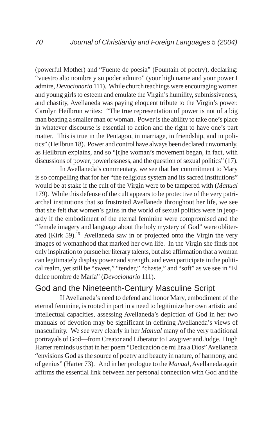(powerful Mother) and "Fuente de poesía" (Fountain of poetry), declaring: "vuestro alto nombre y su poder admiro" (your high name and your power I admire, *Devocionario* 111). While church teachings were encouraging women and young girls to esteem and emulate the Virgin's humility, submissiveness, and chastity, Avellaneda was paying eloquent tribute to the Virgin's power. Carolyn Heilbrun writes: "The true representation of power is not of a big man beating a smaller man or woman. Power is the ability to take one's place in whatever discourse is essential to action and the right to have one's part matter. This is true in the Pentagon, in marriage, in friendship, and in politics" (Heilbrun 18). Power and control have always been declared unwomanly, as Heilbrun explains, and so "[t]he woman's movement began, in fact, with discussions of power, powerlessness, and the question of sexual politics" (17).

In Avellaneda's commentary, we see that her commitment to Mary is so compelling that for her "the religious system and its sacred institutions" would be at stake if the cult of the Virgin were to be tampered with (*Manual* 179). While this defense of the cult appears to be protective of the very patriarchal institutions that so frustrated Avellaneda throughout her life, we see that she felt that women's gains in the world of sexual politics were in jeopardy if the embodiment of the eternal feminine were compromised and the "female imagery and language about the holy mystery of God" were obliterated (Kirk 59).<sup>15</sup> Avellaneda saw in or projected onto the Virgin the very images of womanhood that marked her own life. In the Virgin she finds not only inspiration to pursue her literary talents, but also affirmation that a woman can legitimately display power and strength, and even participate in the political realm, yet still be "sweet," "tender," "chaste," and "soft" as we see in "El dulce nombre de María" (*Devocionario* 111).

### God and the Nineteenth-Century Masculine Script

If Avellaneda's need to defend and honor Mary, embodiment of the eternal feminine, is rooted in part in a need to legitimize her own artistic and intellectual capacities, assessing Avellaneda's depiction of God in her two manuals of devotion may be significant in defining Avellaneda's views of masculinity. We see very clearly in her *Manual* many of the very traditional portrayals of God—from Creator and Liberator to Lawgiver and Judge. Hugh Harter reminds us that in her poem "Dedicación de mi lira a Dios" Avellaneda "envisions God as the source of poetry and beauty in nature, of harmony, and of genius" (Harter 73). And in her prologue to the *Manual*, Avellaneda again affirms the essential link between her personal connection with God and the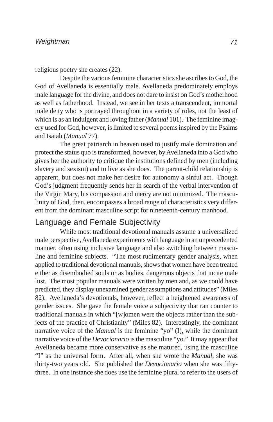religious poetry she creates (22).

Despite the various feminine characteristics she ascribes to God, the God of Avellaneda is essentially male. Avellaneda predominately employs male language for the divine, and does not dare to insist on God's motherhood as well as fatherhood. Instead, we see in her texts a transcendent, immortal male deity who is portrayed throughout in a variety of roles, not the least of which is as an indulgent and loving father (*Manual* 101). The feminine imagery used for God, however, is limited to several poems inspired by the Psalms and Isaiah (*Manual* 77).

The great patriarch in heaven used to justify male domination and protect the status quo is transformed, however, by Avellaneda into a God who gives her the authority to critique the institutions defined by men (including slavery and sexism) and to live as she does. The parent-child relationship is apparent, but does not make her desire for autonomy a sinful act. Though God's judgment frequently sends her in search of the verbal intervention of the Virgin Mary, his compassion and mercy are not minimized. The masculinity of God, then, encompasses a broad range of characteristics very different from the dominant masculine script for nineteenth-century manhood.

## Language and Female Subjectivity

While most traditional devotional manuals assume a universalized male perspective, Avellaneda experiments with language in an unprecedented manner, often using inclusive language and also switching between masculine and feminine subjects. "The most rudimentary gender analysis, when applied to traditional devotional manuals, shows that women have been treated either as disembodied souls or as bodies, dangerous objects that incite male lust. The most popular manuals were written by men and, as we could have predicted, they display unexamined gender assumptions and attitudes" (Miles 82). Avellaneda's devotionals, however, reflect a heightened awareness of gender issues. She gave the female voice a subjectivity that ran counter to traditional manuals in which "[w]omen were the objects rather than the subjects of the practice of Christianity" (Miles 82). Interestingly, the dominant narrative voice of the *Manual* is the feminine "yo" (I), while the dominant narrative voice of the *Devocionario* is the masculine "yo." It may appear that Avellaneda became more conservative as she matured, using the masculine "I" as the universal form. After all, when she wrote the *Manual*, she was thirty-two years old. She published the *Devocionario* when she was fiftythree. In one instance she does use the feminine plural to refer to the users of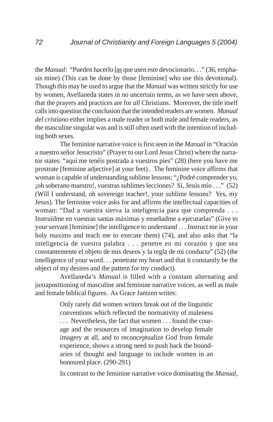the *Manual*: "Pueden hacerlo las que usen este devocionario. . ." (36, emphasis mine) (This can be done by those [feminine] who use this devotional). Though this may be used to argue that the *Manual* was written strictly for use by women, Avellaneda states in no uncertain terms, as we have seen above, that the prayers and practices are for *all* Christians. Moreover, the title itself calls into question the conclusion that the intended readers are women. *Manual del cristiano* either implies a male reader or both male and female readers, as the masculine singular was and is still often used with the intention of including both sexes.

The feminine narrative voice is first seen in the *Manual* in "Oración a nuestro señor Jesucristo" (Prayer to our Lord Jesus Christ) where the narrator states: "aquí me tenéis postrada a vuestros pies" (28) (here you have me prostrate [feminine adjective] at your feet) . The feminine voice affirms that woman is capable of understanding sublime lessons: "¿Podré comprender yo, ¡oh soberano maestro!, vuestras sublimes lecciones? Sí, Jesús mío . . ." (52) (Will I understand, oh sovereign teacher!, your sublime lessons? Yes, my Jesus). The feminine voice asks for and affirms the intellectual capacities of woman: "Dad a vuestra sierva la inteligencia para que comprenda . . . Instruídme en vuestras santas máximas y enseñadme a ejecutarlas" (Give to your servant [feminine] the intelligence to understand . . . Instruct me in your holy maxims and teach me to execute them) (74), and also asks that "la inteligencia de vuestra palabra . . . penetre en mi corazón y que sea constantemente el objeto de mis deseos y la regla de mi conducta" (52) (the intelligence of your word. . . penetrate my heart and that it constantly be the object of my desires and the pattern for my conduct).

Avellaneda's *Manual* is filled with a constant alternating and juxtapositioning of masculine and feminine narrative voices, as well as male and female biblical figures. As Grace Jantzen writes:

> Only rarely did women writers break out of the linguistic conventions which reflected the normativity of maleness . . . Nevertheless, the fact that women . . . found the courage and the resources of imagination to develop female imagery at all, and to reconceptualize God from female experience, shows a strong need to push back the boundaries of thought and language to include women in an honoured place. (290-291)

In contrast to the feminine narrative voice dominating the *Manual*,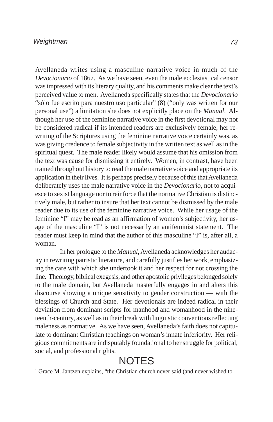#### *Weightman*

Avellaneda writes using a masculine narrative voice in much of the *Devocionario* of 1867. As we have seen, even the male ecclesiastical censor was impressed with its literary quality, and his comments make clear the text's perceived value to men. Avellaneda specifically states that the *Devocionario* "sólo fue escrito para nuestro uso particular" (8) ("only was written for our personal use") a limitation she does not explicitly place on the *Manual*. Although her use of the feminine narrative voice in the first devotional may not be considered radical if its intended readers are exclusively female, her rewriting of the Scriptures using the feminine narrative voice certainly was, as was giving credence to female subjectivity in the written text as well as in the spiritual quest. The male reader likely would assume that his omission from the text was cause for dismissing it entirely. Women, in contrast, have been trained throughout history to read the male narrative voice and appropriate its application in their lives. It is perhaps precisely because of this that Avellaneda deliberately uses the male narrative voice in the *Devocionario*, not to acquiesce to sexist language nor to reinforce that the normative Christian is distinctively male, but rather to insure that her text cannot be dismissed by the male reader due to its use of the feminine narrative voice. While her usage of the feminine "I" may be read as an affirmation of women's subjectivity, her usage of the masculine "I" is not necessarily an antifeminist statement. The reader must keep in mind that the author of this masculine "I" is, after all, a woman.

In her prologue to the *Manual*, Avellaneda acknowledges her audacity in rewriting patristic literature, and carefully justifies her work, emphasizing the care with which she undertook it and her respect for not crossing the line. Theology, biblical exegesis, and other apostolic privileges belonged solely to the male domain, but Avellaneda masterfully engages in and alters this discourse showing a unique sensitivity to gender construction — with the blessings of Church and State. Her devotionals are indeed radical in their deviation from dominant scripts for manhood and womanhood in the nineteenth-century, as well as in their break with linguistic conventions reflecting maleness as normative. As we have seen, Avellaneda's faith does not capitulate to dominant Christian teachings on woman's innate inferiority. Her religious commitments are indisputably foundational to her struggle for political, social, and professional rights.

# **NOTES**

<sup>1</sup> Grace M. Jantzen explains, "the Christian church never said (and never wished to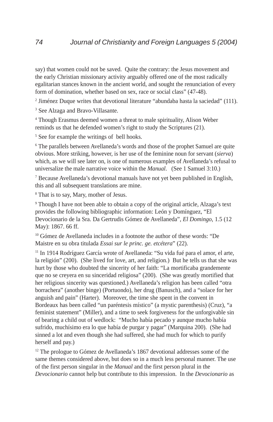say) that women could not be saved. Quite the contrary: the Jesus movement and the early Christian missionary activity arguably offered one of the most radically egalitarian stances known in the ancient world, and sought the renunciation of every form of domination, whether based on sex, race or social class" (47-48).

2 Jiménez Duque writes that devotional literature "abundaba hasta la saciedad" (111).

<sup>3</sup> See Alzaga and Bravo-Villasante.

4 Though Erasmus deemed women a threat to male spirituality, Alison Weber reminds us that he defended women's right to study the Scriptures (21).

<sup>5</sup> See for example the writings of bell hooks.

<sup>6</sup> The parallels between Avellaneda's words and those of the prophet Samuel are quite obvious. More striking, however, is her use of the feminine noun for servant (*sierva*) which, as we will see later on, is one of numerous examples of Avellaneda's refusal to universalize the male narrative voice within the *Manual*. (See 1 Samuel 3:10.)

<sup>7</sup> Because Avellaneda's devotional manuals have not yet been published in English, this and all subsequent translations are mine.

8 That is to say, Mary, mother of Jesus.

<sup>9</sup> Though I have not been able to obtain a copy of the original article, Alzaga's text provides the following bibliographic information: León y Domínguez, "El Devocionario de la Sra. Da Gertrudis Gómez de Avellaneda", *El Domingo*, 1.5 (12 May): 1867. 66 ff.

<sup>10</sup> Gómez de Avellaneda includes in a footnote the author of these words: "De Maistre en su obra titulada *Essai sur le princ. ge. etcétera*" (22).

11 In 1914 Rodríguez García wrote of Avellaneda: "Su vida fué para el amor, el arte, la religión" (200). (She lived for love, art, and religion.) But he tells us that she was hurt by those who doubted the sincerity of her faith: "La mortificaba grandemente que no se creyera en su sinceridad religiosa" (200). (She was greatly mortified that her religious sincerity was questioned.) Avellaneda's religion has been called "otra borrachera" (another binge) (Portuondo), her drug (Banusch), and a "solace for her anguish and pain" (Harter). Moreover, the time she spent in the convent in Bordeaux has been called "un paréntesis místico" (a mystic parenthesis) (Cruz), "a feminist statement" (Miller), and a time to seek forgiveness for the unforgivable sin of bearing a child out of wedlock: "Mucho había pecado y aunque mucho había sufrido, muchísimo era lo que había de purgar y pagar" (Marquina 200). (She had sinned a lot and even though she had suffered, she had much for which to purify herself and pay.)

<sup>12</sup> The prologue to Gómez de Avellaneda's 1867 devotional addresses some of the same themes considered above, but does so in a much less personal manner. The use of the first person singular in the *Manual* and the first person plural in the *Devocionario* cannot help but contribute to this impression. In the *Devocionario* as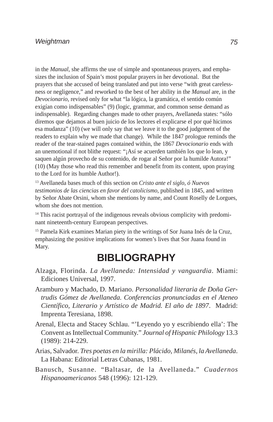#### *Weightman*

in the *Manual*, she affirms the use of simple and spontaneous prayers, and emphasizes the inclusion of Spain's most popular prayers in her devotional. But the prayers that she accused of being translated and put into verse "with great carelessness or negligence," and reworked to the best of her ability in the *Manual* are, in the *Devocionario*, revised only for what "la lógica, la gramática, el sentido común exigían como indispensables" (9) (logic, grammar, and common sense demand as indispensable). Regarding changes made to other prayers, Avellaneda states: "sólo diremos que dejamos al buen juicio de los lectores el explicarse el por qué hicimos esa mudanza" (10) (we will only say that we leave it to the good judgement of the readers to explain why we made that change). While the 1847 prologue reminds the reader of the tear-stained pages contained within, the 1867 *Devocionario* ends with an unemotional if not blithe request: "¡Así se acuerden también los que lo lean, y saquen algún provecho de su contenido, de rogar al Señor por la humilde Autora!" (10) (May those who read this remember and benefit from its content, upon praying to the Lord for its humble Author!).

13 Avellaneda bases much of this section on *Cristo ante el siglo, ó Nuevos testimonios de las ciencias en favor del catolicismo*, published in 1845, and written by Señor Abate Orsini, whom she mentions by name, and Count Roselly de Lorgues, whom she does not mention.

<sup>14</sup> This racist portrayal of the indigenous reveals obvious complicity with predominant nineteenth-century European perspectives.

<sup>15</sup> Pamela Kirk examines Marian piety in the writings of Sor Juana Inés de la Cruz, emphasizing the positive implications for women's lives that Sor Juana found in Mary.

## **BIBLIOGRAPHY**

- Alzaga, Florinda. *La Avellaneda: Intensidad y vanguardia*. Miami: Ediciones Universal, 1997.
- Aramburo y Machado, D. Mariano. *Personalidad literaria de Doña Gertrudis Gómez de Avellaneda. Conferencias pronunciadas en el Ateneo Científico, Literario y Artístico de Madrid. El año de 1897*. Madrid: Imprenta Teresiana, 1898.
- Arenal, Electa and Stacey Schlau. "'Leyendo yo y escribiendo ella': The Convent as Intellectual Community." *Journal of Hispanic Philology* 13.3 (1989): 214-229.
- Arias, Salvador. *Tres poetas en la mirilla: Plácido, Milanés, la Avellaneda*. La Habana: Editorial Letras Cubanas, 1981.
- Banusch, Susanne. "Baltasar, de la Avellaneda." *Cuadernos Hispanoamericanos* 548 (1996): 121-129.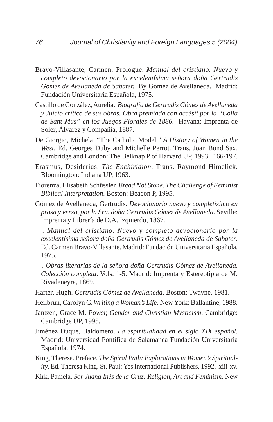- Bravo-Villasante, Carmen. Prologue. *Manual del cristiano. Nuevo y completo devocionario por la excelentísima señora doña Gertrudis Gómez de Avellaneda de Sabater.* By Gómez de Avellaneda. Madrid: Fundación Universitaria Española, 1975.
- Castillo de González, Aurelia. *Biografía de Gertrudis Gómez de Avellaneda y Juicio crítico de sus obras. Obra premiada con accésit por la "Colla de Sant Mus" en los Juegos Florales de 1886*. Havana: Imprenta de Soler, Álvarez y Compañía, 1887.
- De Giorgio, Michela. "The Catholic Model." *A History of Women in the West*. Ed. Georges Duby and Michelle Perrot. Trans. Joan Bond Sax. Cambridge and London: The Belknap P of Harvard UP, 1993. 166-197.
- Erasmus, Desiderius. *The Enchiridion*. Trans. Raymond Himelick. Bloomington: Indiana UP, 1963.
- Fiorenza, Elisabeth Schüssler. *Bread Not Stone. The Challenge of Feminist Biblical Interpretation*. Boston: Beacon P, 1995.
- Gómez de Avellaneda, Gertrudis. *Devocionario nuevo y completísimo en prosa y verso, por la Sra. doña Gertrudis Gómez de Avellaneda*. Seville: Imprenta y Librería de D.A. Izquierdo, 1867.
- —. *Manual del cristiano. Nuevo y completo devocionario por la excelentísima señora doña Gertrudis Gómez de Avellaneda de Sabater*. Ed. Carmen Bravo-Villasante. Madrid: Fundación Universitaria Española, 1975.
- —. *Obras literarias de la señora doña Gertrudis Gómez de Avellaneda*. *Colección completa*. Vols. 1-5. Madrid: Imprenta y Estereotipia de M. Rivadeneyra, 1869.
- Harter, Hugh. *Gertrudis Gómez de Avellaneda*. Boston: Twayne, 1981.
- Heilbrun, Carolyn G. *Writing a Woman's Life*. New York: Ballantine, 1988.
- Jantzen, Grace M. *Power, Gender and Christian Mysticism*. Cambridge: Cambridge UP, 1995.
- Jiménez Duque, Baldomero. *La espiritualidad en el siglo XIX español.* Madrid: Universidad Pontífica de Salamanca Fundación Universitaria Española, 1974.
- King, Theresa. Preface. *The Spiral Path: Explorations in Women's Spirituality*. Ed. Theresa King. St. Paul: Yes International Publishers, 1992. xiii-xv.
- Kirk, Pamela. *Sor Juana Inés de la Cruz: Religion, Art and Feminism*. New